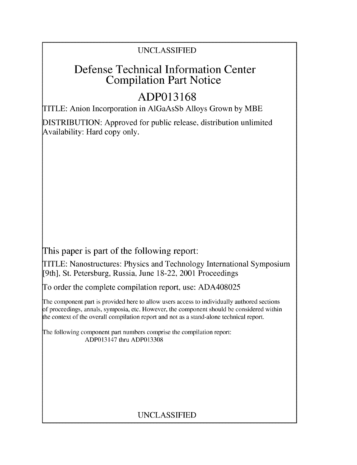### UNCLASSIFIED

## Defense Technical Information Center Compilation Part Notice

# **ADP013168**

TITLE: Anion Incorporation in AlGaAsSb Alloys Grown by MBE

DISTRIBUTION: Approved for public release, distribution unlimited Availability: Hard copy only.

This paper is part of the following report:

TITLE: Nanostructures: Physics and Technology International Symposium [9th], St. Petersburg, Russia, June 18-22, 2001 Proceedings

To order the complete compilation report, use: ADA408025

The component part is provided here to allow users access to individually authored sections f proceedings, annals, symposia, etc. However, the component should be considered within the context of the overall compilation report and not as a stand-alone technical report.

The following component part numbers comprise the compilation report: ADP013147 thru ADP013308

### UNCLASSIFIED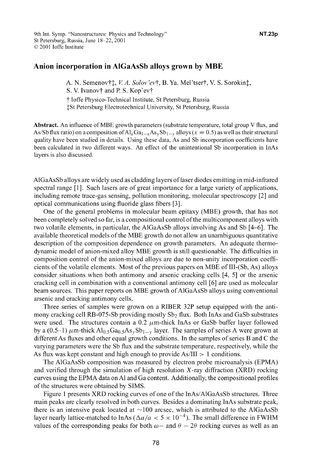### Anion incorporation in AlGaAsSb alloys grown **by** MBE

A. N. Semenov†*‡, V. A. Solov'ev†*, B. Ya. Mel'tser†, V. S. Sorokin*‡*, S. V. Ivanov<sup>†</sup> and P. S. Kop'ev† t loffe Physico-Technical Institute, St Petersburg, Russia jSt Petersburg Electrotechnical University, St Petersburg, Russia

Abstract. An influence of MBE growth parameters (substrate temperature, total group V flux, and As/Sb flux ratio) on a composition of  $A\mathbf{l}_x$   $Ga_{1-x}$   $As_y$   $Sb_{1-y}$  alloys ( $x = 0.5$ ) as well as their structural quality have been studied in details. Using these data, As and Sb incorporation coefficients have been calculated in two different ways. An effect of the unintentional Sb incorporation in InAs layers is also discussed.

AlGaAsSb alloys are widely used as cladding layers of laser diodes emitting in mid-infrared spectral range [1]. Such lasers are of great importance for a large variety of applications, including remote trace-gas sensing, pollution monitoring, molecular spectroscopy [2] and optical communications using fluoride glass fibers **[3].**

One of the general problems in molecular beam epitaxy (MBE) growth, that has not been completely solved so far, is a compositional control of the multicomponent alloys with two volatile elements, in particular, the AlGaAsSb alloys involving As and Sb [4-6]. The available theoretical models of the MBE growth do not allow an unambiguous quantitative description of the composition dependence on growth parameters. An adequate thermodynamic model of anion-mixed alloy MBE growth is still questionable. The difficulties in composition control of the anion-mixed alloys are due to non-unity incorporation coefficients of the volatile elements. Most of the previous papers on MBE of III-(Sb, As) alloys consider situations when both antimony and arsenic cracking cells [4, **5]** or the arsenic cracking cell in combination with a conventional antimony cell **[6]** are used as molecular beam sources. This paper reports on MBE growth of AlGaAsSb alloys using conventional arsenic and cracking antimony cells.

Three series of samples were grown on a RIBER 32P setup equipped with the antimony cracking cell RB-075-Sb providing mostly Sb2 flux. Both InAs and GaSb substrates were used. The structures contain a 0.2  $\mu$ m-thick InAs or GaSb buffer layer followed by a (0.5-1)  $\mu$ m-thick Al<sub>0.5</sub>Ga<sub>0.5</sub>As<sub>y</sub>Sb<sub>1-y</sub> layer. The samples of series A were grown at different As fluxes and other equal growth conditions. In the samples of series B and C the varying parameters were the Sb flux and the substrate temperature, respectively, while the As flux was kept constant and high enough to provide  $As/III > 1$  conditions.

The AlGaAsSb composition was measured by electron probe microanalysis (EPMA) and verified through the simulation of high resolution X-ray diffraction (XRD) rocking curves using the EPMA data on **Al** and Ga content. Additionally, the compositional profiles of the structures were obtained by SIMS.

Figure 1 presents XRD rocking curves of one of the InAs/AlGaAsSb structures. Three main peaks are clearly resolved in both curves. Besides a dominating InAs substrate peak, there is an intensive peak located at  $\sim$ 100 arcsec, which is attributed to the AlGaAsSb layer nearly lattice-matched to InAs ( $\Delta a/a < 5 \times 10^{-4}$ ). The small difference in FWHM values of the corresponding peaks for both  $\omega$ - and  $\theta$  - 2 $\theta$  rocking curves as well as an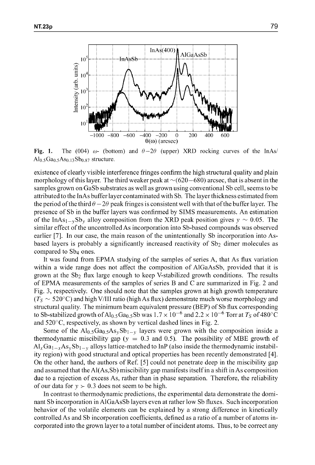

Fig. 1. The (004)  $\omega$ - (bottom) and  $\theta - 2\theta$  (upper) XRD rocking curves of the InAs/  $Al_{0.5}Ga_{0.5}As_{0.13}Sb_{0.87}$  structure.

existence of clearly visible interference fringes confirm the high structural quality and plain morphology of this layer. The third weaker peak at  $\sim$  (620 $-$ 680) arcsec, that is absent in the samples grown on GaSb substrates as well as grown using conventional Sb cell, seems to be attributed to the InAs buffer layer contaminated with Sb. The layer thickness estimated from the period of the third  $\theta - 2\theta$  peak fringes is consistent well with that of the buffer layer. The presence of Sb in the buffer layers was confirmed by SIMS measurements. An estimation of the InAs<sub>1</sub><sub>-y</sub>Sb<sub>y</sub> alloy composition from the XRD peak position gives  $y \sim 0.05$ . The similar effect of the uncontrolled As incorporation into Sb-based compounds was observed earlier [7]. In our case, the main reason of the unintentionally Sb incorporation into Asbased layers is probably a significantly increased reactivity of  $Sb<sub>2</sub>$  dimer molecules as compared to Sb4 ones.

It was found from EPMA studying of the samples of series A, that As flux variation within a wide range does not affect the composition of AlGaAsSb, provided that it is grown at the Sb<sub>2</sub> flux large enough to keep V-stabilized growth conditions. The results of EPMA measurements of the samples of series B and C are summarized in Fig. 2 and Fig. 3, respectively. One should note that the samples grown at high growth temperature  $(T_S \sim 520^{\circ}$ C) and high V/III ratio (high As flux) demonstrate much worse morphology and structural quality. The minimum beam equivalent pressure (BEP) of Sb flux corresponding to Sb-stabilized growth of Al<sub>0.5</sub>Ga<sub>0.5</sub>Sb was  $1.7 \times 10^{-6}$  and  $2.2 \times 10^{-6}$  Torr at  $T_S$  of 480°C and 520'C, respectively, as shown by vertical dashed lines in Fig. 2.

Some of the  $Al<sub>0.5</sub>Ga<sub>0.5</sub>As<sub>y</sub>Sh<sub>1-y</sub>$  layers were grown with the composition inside a thermodynamic miscibility gap ( $y = 0.3$  and 0.5). The possibility of MBE growth of  $\text{Al}_x\text{Ga}_{1-x}\text{As}_y\text{Sb}_{1-y}$  alloys lattice-matched to InP (also inside the thermodynamic instability region) with good structural and optical properties has been recently demonstrated [4]. On the other hand, the authors of Ref. **[5]** could not penetrate deep in the miscibility gap and assumed that the AI(As,Sb) miscibility gap manifests itself in a shift in As composition due to a rejection of excess As, rather than in phase separation. Therefore, the reliability of our data for  $y > 0.3$  does not seem to be high.

In contrast to thermodynamic predictions, the experimental data demonstrate the dominant Sb incorporation in AlGaAsSb layers even at rather low Sb fluxes. Such incorporation behavior of the volatile elements can be explained by a strong difference in kinetically controlled As and Sb incorporation coefficients, defined as a ratio of a number of atoms incorporated into the grown layer to a total number of incident atoms. Thus, to be correct any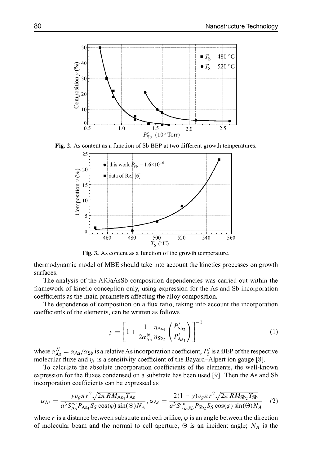

**Fig. 2.** As content as a function of **Sb** BEP at two different growth temperatures.



Fig. **3.** As content as a function of the growth temperature.

thermodynamic model of MBE should take into account the kinetics processes on growth surfaces.

The analysis of the AlGaAsSb composition dependencies was carried out within the framework of kinetic conception only, using expression for the As and **Sb** incorporation coefficients as the main parameters affecting the alloy composition.

The dependence of composition on a flux ratio, taking into account the incorporation coefficients of the elements, can be written as follows

$$
y = \left[1 + \frac{1}{2\alpha_{As}^N} \frac{\eta_{As_4}}{\eta_{Sb_2}} \left(\frac{P'_{Sb_2}}{P'_{As_4}}\right)\right]^{-1} \tag{1}
$$

where  $\alpha_{\text{As}}^N = \alpha_{\text{As}}/\alpha_{\text{Sb}}$  is a relative As incorporation coefficient,  $P'_i$  is a BEP of the respectively molecular fluxe and  $\eta_i$  is a sensitivity coefficient of the Bayard–Alpert ion gauge [8].<br>To celeviate the eheclists incorporation coefficients of the elements, the yiell know

To calculate the absolute incorporation coefficients of the elements, the well-known expression for the fluxes condensed on a substrate has been used **[91.** Then the As and Sb incorporation coefficients can be expressed as

$$
\alpha_{\rm As} = \frac{yv_g \pi r^2 \sqrt{2\pi R M_{\rm As_4} T_{\rm As}}}{a^3 S_{\rm As}^{ev} P_{\rm As_4} S_S \cos(\varphi) \sin(\Theta) N_A}, \alpha_{\rm As} = \frac{2(1 - y)v_g \pi r^2 \sqrt{2\pi R M_{\rm Sb_2} T_{\rm Sb}}}{a^3 S_{rms}^{ev} P_{\rm Sb_2} S_S \cos(\varphi) \sin(\Theta) N_A}
$$
(2)

where r is a distance between substrate and cell orifice,  $\varphi$  is an angle between the direction of molecular beam and the normal to cell aperture,  $\Theta$  is an incident angle;  $N_A$  is the